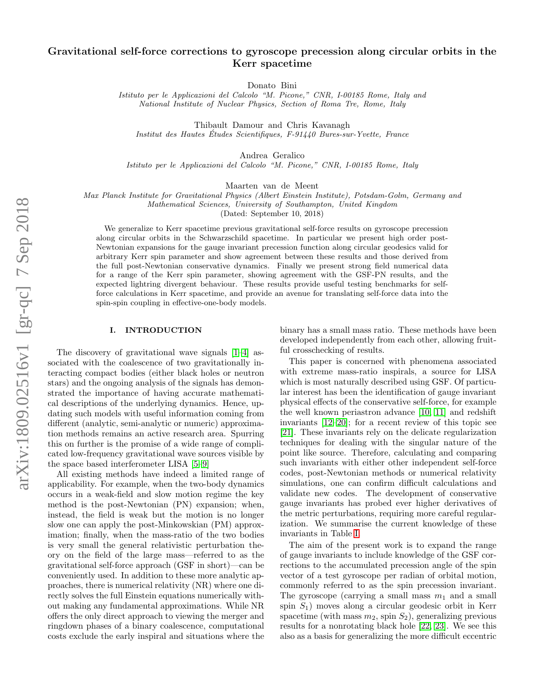# Gravitational self-force corrections to gyroscope precession along circular orbits in the Kerr spacetime

Donato Bini

Istituto per le Applicazioni del Calcolo "M. Picone," CNR, I-00185 Rome, Italy and National Institute of Nuclear Physics, Section of Roma Tre, Rome, Italy

Thibault Damour and Chris Kavanagh Institut des Hautes Etudes Scientifiques, F-91440 Bures-sur-Yvette, France ´

Andrea Geralico

Istituto per le Applicazioni del Calcolo "M. Picone," CNR, I-00185 Rome, Italy

Maarten van de Meent

Max Planck Institute for Gravitational Physics (Albert Einstein Institute), Potsdam-Golm, Germany and Mathematical Sciences, University of Southampton, United Kingdom

(Dated: September 10, 2018)

We generalize to Kerr spacetime previous gravitational self-force results on gyroscope precession along circular orbits in the Schwarzschild spacetime. In particular we present high order post-Newtonian expansions for the gauge invariant precession function along circular geodesics valid for arbitrary Kerr spin parameter and show agreement between these results and those derived from the full post-Newtonian conservative dynamics. Finally we present strong field numerical data for a range of the Kerr spin parameter, showing agreement with the GSF-PN results, and the expected lightring divergent behaviour. These results provide useful testing benchmarks for selfforce calculations in Kerr spacetime, and provide an avenue for translating self-force data into the spin-spin coupling in effective-one-body models.

# I. INTRODUCTION

The discovery of gravitational wave signals [\[1–](#page-8-0)[4\]](#page-8-1) associated with the coalescence of two gravitationally interacting compact bodies (either black holes or neutron stars) and the ongoing analysis of the signals has demonstrated the importance of having accurate mathematical descriptions of the underlying dynamics. Hence, updating such models with useful information coming from different (analytic, semi-analytic or numeric) approximation methods remains an active research area. Spurring this on further is the promise of a wide range of complicated low-frequency gravitational wave sources visible by the space based interferometer LISA [\[5](#page-8-2)[–9\]](#page-8-3)

All existing methods have indeed a limited range of applicability. For example, when the two-body dynamics occurs in a weak-field and slow motion regime the key method is the post-Newtonian (PN) expansion; when, instead, the field is weak but the motion is no longer slow one can apply the post-Minkowskian (PM) approximation; finally, when the mass-ratio of the two bodies is very small the general relativistic perturbation theory on the field of the large mass—referred to as the gravitational self-force approach (GSF in short)—can be conveniently used. In addition to these more analytic approaches, there is numerical relativity (NR) where one directly solves the full Einstein equations numerically without making any fundamental approximations. While NR offers the only direct approach to viewing the merger and ringdown phases of a binary coalescence, computational costs exclude the early inspiral and situations where the binary has a small mass ratio. These methods have been developed independently from each other, allowing fruitful crosschecking of results.

This paper is concerned with phenomena associated with extreme mass-ratio inspirals, a source for LISA which is most naturally described using GSF. Of particular interest has been the identification of gauge invariant physical effects of the conservative self-force, for example the well known periastron advance [\[10,](#page-8-4) [11\]](#page-8-5) and redshift invariants [\[12–](#page-9-0)[20\]](#page-9-1); for a recent review of this topic see [\[21\]](#page-9-2). These invariants rely on the delicate regularization techniques for dealing with the singular nature of the point like source. Therefore, calculating and comparing such invariants with either other independent self-force codes, post-Newtonian methods or numerical relativity simulations, one can confirm difficult calculations and validate new codes. The development of conservative gauge invariants has probed ever higher derivatives of the metric perturbations, requiring more careful regularization. We summarise the current knowledge of these invariants in Table [I.](#page-1-0)

The aim of the present work is to expand the range of gauge invariants to include knowledge of the GSF corrections to the accumulated precession angle of the spin vector of a test gyroscope per radian of orbital motion, commonly referred to as the spin precession invariant. The gyroscope (carrying a small mass  $m_1$  and a small spin  $S_1$ ) moves along a circular geodesic orbit in Kerr spacetime (with mass  $m_2$ , spin  $S_2$ ), generalizing previous results for a nonrotating black hole [\[22,](#page-9-3) [23\]](#page-9-4). We see this also as a basis for generalizing the more difficult eccentric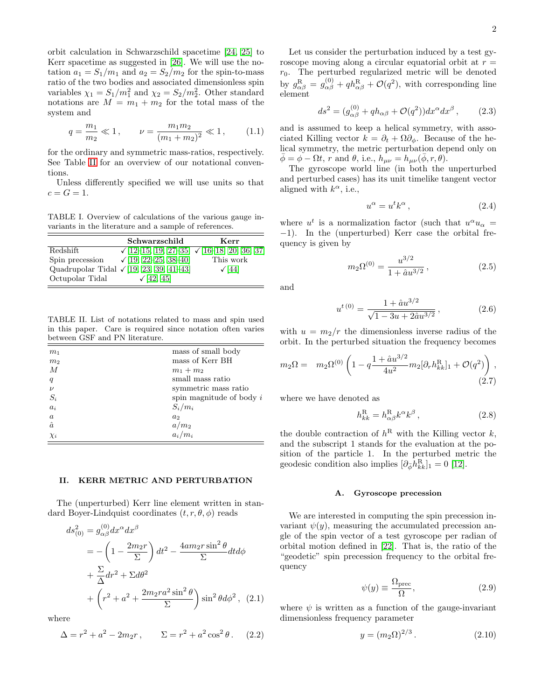orbit calculation in Schwarzschild spacetime [\[24,](#page-9-5) [25\]](#page-9-6) to Kerr spacetime as suggested in [\[26\]](#page-9-7). We will use the notation  $a_1 = S_1/m_1$  and  $a_2 = S_2/m_2$  for the spin-to-mass ratio of the two bodies and associated dimensionless spin variables  $\chi_1 = S_1/m_1^2$  and  $\chi_2 = S_2/m_2^2$ . Other standard notations are  $M = m_1 + m_2$  for the total mass of the system and

$$
q = \frac{m_1}{m_2} \ll 1, \qquad \nu = \frac{m_1 m_2}{(m_1 + m_2)^2} \ll 1, \qquad (1.1)
$$

for the ordinary and symmetric mass-ratios, respectively. See Table [II](#page-1-1) for an overview of our notational conventions.

Unless differently specified we will use units so that  $c = G = 1.$ 

<span id="page-1-0"></span>TABLE I. Overview of calculations of the various gauge invariants in the literature and a sample of references.

|                 | Schwarzschild                                          | Kerr        |
|-----------------|--------------------------------------------------------|-------------|
| Redshift        | $\sqrt{12-15}$ , 19, 27-35 $\sqrt{16-18}$ , 20, 36, 37 |             |
| Spin precession | $\sqrt{19}$ , 22-25, 38-40]                            | This work   |
|                 | Quadrupolar Tidal $\sqrt{19}$ , 23, 39, 41-43          | $\sqrt{44}$ |
| Octupolar Tidal | $\sqrt{42, 45}$                                        |             |

<span id="page-1-1"></span>TABLE II. List of notations related to mass and spin used in this paper. Care is required since notation often varies between GSF and PN literature.

| m <sub>1</sub> | mass of small body         |
|----------------|----------------------------|
| m <sub>2</sub> | mass of Kerr BH            |
| $\overline{M}$ | $m_1 + m_2$                |
| q              | small mass ratio           |
| $\nu$          | symmetric mass ratio       |
| $S_i$          | spin magnitude of body $i$ |
| $a_i$          | $S_i/m_i$                  |
| $\alpha$       | a <sub>2</sub>             |
| $\hat{a}$      | $a/m_2$                    |
| $\chi_i$       | $a_i/m_i$                  |

#### II. KERR METRIC AND PERTURBATION

The (unperturbed) Kerr line element written in standard Boyer-Lindquist coordinates  $(t, r, \theta, \phi)$  reads

$$
ds_{(0)}^2 = g_{\alpha\beta}^{(0)} dx^{\alpha} dx^{\beta}
$$
  
=  $-\left(1 - \frac{2m_2r}{\Sigma}\right) dt^2 - \frac{4am_2r\sin^2\theta}{\Sigma} dt d\phi$   
+  $\frac{\Sigma}{\Delta} dr^2 + \Sigma d\theta^2$   
+  $\left(r^2 + a^2 + \frac{2m_2ra^2\sin^2\theta}{\Sigma}\right)\sin^2\theta d\phi^2$ , (2.1)

where

$$
\Delta = r^2 + a^2 - 2m_2r, \qquad \Sigma = r^2 + a^2 \cos^2 \theta. \tag{2.2}
$$

Let us consider the perturbation induced by a test gyroscope moving along a circular equatorial orbit at  $r =$  $r_0$ . The perturbed regularized metric will be denoted by  $g_{\alpha\beta}^{\rm R} = g_{\alpha\beta}^{(0)} + qh_{\alpha\beta}^{\rm R} + \mathcal{O}(q^2)$ , with corresponding line element

$$
ds^2 = (g_{\alpha\beta}^{(0)} + qh_{\alpha\beta} + \mathcal{O}(q^2))dx^{\alpha}dx^{\beta}, \qquad (2.3)
$$

and is assumed to keep a helical symmetry, with associated Killing vector  $k = \partial_t + \Omega \partial_{\phi}$ . Because of the helical symmetry, the metric perturbation depend only on  $\phi = \phi - \Omega t$ , r and  $\theta$ , i.e.,  $h_{\mu\nu} = h_{\mu\nu}(\phi, r, \theta)$ .

The gyroscope world line (in both the unperturbed and perturbed cases) has its unit timelike tangent vector aligned with  $k^{\alpha}$ , i.e.,

$$
u^{\alpha} = u^{t} k^{\alpha}, \qquad (2.4)
$$

where  $u^t$  is a normalization factor (such that  $u^{\alpha}u_{\alpha}$  = −1). In the (unperturbed) Kerr case the orbital frequency is given by

$$
m_2\Omega^{(0)} = \frac{u^{3/2}}{1 + \hat{a}u^{3/2}},\tag{2.5}
$$

and

$$
u^{t(0)} = \frac{1 + \hat{a}u^{3/2}}{\sqrt{1 - 3u + 2\hat{a}u^{3/2}}},
$$
\n(2.6)

with  $u = m_2/r$  the dimensionless inverse radius of the orbit. In the perturbed situation the frequency becomes

$$
m_2\Omega = m_2\Omega^{(0)} \left( 1 - q \frac{1 + \hat{a}u^{3/2}}{4u^2} m_2 [\partial_r h_{kk}^{\text{R}}]_1 + \mathcal{O}(q^2) \right),\tag{2.7}
$$

where we have denoted as

<span id="page-1-3"></span>
$$
h_{kk}^{\rm R} = h_{\alpha\beta}^{\rm R} k^{\alpha} k^{\beta} , \qquad (2.8)
$$

the double contraction of  $h^R$  with the Killing vector  $k$ , and the subscript 1 stands for the evaluation at the position of the particle 1. In the perturbed metric the geodesic condition also implies  $[\partial_{\bar{\phi}} h_{kk}^{\text{R}}]_1 = 0$  [\[12\]](#page-9-0).

## A. Gyroscope precession

We are interested in computing the spin precession invariant  $\psi(y)$ , measuring the accumulated precession angle of the spin vector of a test gyroscope per radian of orbital motion defined in [\[22\]](#page-9-3). That is, the ratio of the "geodetic" spin precession frequency to the orbital frequency

<span id="page-1-4"></span>
$$
\psi(y) \equiv \frac{\Omega_{\text{prec}}}{\Omega},\tag{2.9}
$$

where  $\psi$  is written as a function of the gauge-invariant dimensionless frequency parameter

<span id="page-1-2"></span>
$$
y = (m_2 \Omega)^{2/3}.
$$
 (2.10)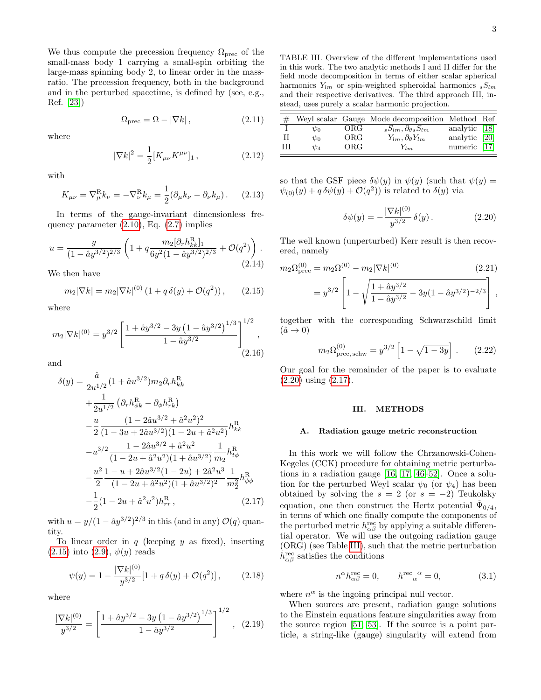We thus compute the precession frequency  $\Omega_{\text{prec}}$  of the small-mass body 1 carrying a small-spin orbiting the large-mass spinning body 2, to linear order in the massratio. The precession frequency, both in the background and in the perturbed spacetime, is defined by (see, e.g., Ref. [\[23\]](#page-9-4))

$$
\Omega_{\text{prec}} = \Omega - |\nabla k| \,, \tag{2.11}
$$

where

$$
|\nabla k|^2 = \frac{1}{2} [K_{\mu\nu} K^{\mu\nu}]_1 , \qquad (2.12)
$$

with

$$
K_{\mu\nu} = \nabla^{\mathrm{R}}_{\mu} k_{\nu} = -\nabla^{\mathrm{R}}_{\nu} k_{\mu} = \frac{1}{2} (\partial_{\mu} k_{\nu} - \partial_{\nu} k_{\mu}). \quad (2.13)
$$

In terms of the gauge-invariant dimensionless frequency parameter  $(2.10)$ , Eq.  $(2.7)$  implies

$$
u = \frac{y}{(1 - \hat{a}y^{3/2})^{2/3}} \left( 1 + q \frac{m_2[\partial_r h_{kk}^{\rm R}]_1}{6y^2(1 - \hat{a}y^{3/2})^{2/3}} + \mathcal{O}(q^2) \right). \tag{2.14}
$$

We then have

<span id="page-2-0"></span>
$$
m_2|\nabla k| = m_2|\nabla k|^{(0)} \left(1 + q \,\delta(y) + \mathcal{O}(q^2)\right),\qquad(2.15)
$$

where

$$
m_2|\nabla k|^{(0)} = y^{3/2} \left[ \frac{1 + \hat{a}y^{3/2} - 3y (1 - \hat{a}y^{3/2})^{1/3}}{1 - \hat{a}y^{3/2}} \right]^{1/2},
$$
\n(2.16)

and

<span id="page-2-2"></span>
$$
\delta(y) = \frac{\hat{a}}{2u^{1/2}} (1 + \hat{a}u^{3/2}) m_2 \partial_r h_{kk}^{\text{R}}
$$
  
+ 
$$
\frac{1}{2u^{1/2}} (\partial_r h_{\phi k}^{\text{R}} - \partial_{\phi} h_{rk}^{\text{R}})
$$
  
- 
$$
\frac{u}{2} \frac{(1 - 2\hat{a}u^{3/2} + \hat{a}^2 u^2)^2}{(1 - 3u + 2\hat{a}u^{3/2})(1 - 2u + \hat{a}^2 u^2)} h_{kk}^{\text{R}}
$$
  
- 
$$
u^{3/2} \frac{1 - 2\hat{a}u^{3/2} + \hat{a}^2 u^2}{(1 - 2u + \hat{a}^2 u^2)(1 + \hat{a}u^{3/2})} \frac{1}{m_2} h_{t\phi}^{\text{R}}
$$
  
- 
$$
\frac{u^2}{2} \frac{1 - u + 2\hat{a}u^{3/2}(1 - 2u) + 2\hat{a}^2 u^3}{(1 - 2u + \hat{a}^2 u^2)(1 + \hat{a}u^{3/2})^2} \frac{1}{m_2^2} h_{\phi\phi}^{\text{R}}
$$
  
- 
$$
\frac{1}{2} (1 - 2u + \hat{a}^2 u^2) h_{rr}^{\text{R}},
$$
(2.17)

with  $u = y/(1 - \hat{a}y^{3/2})^{2/3}$  in this (and in any)  $\mathcal{O}(q)$  quantity.

To linear order in  $q$  (keeping  $y$  as fixed), inserting  $(2.15)$  into  $(2.9), \psi(y)$  reads

$$
\psi(y) = 1 - \frac{|\nabla k|^{(0)}}{y^{3/2}} [1 + q \,\delta(y) + \mathcal{O}(q^2)],\tag{2.18}
$$

where

$$
\frac{|\nabla k|^{(0)}}{y^{3/2}} = \left[\frac{1 + \hat{a}y^{3/2} - 3y(1 - \hat{a}y^{3/2})^{1/3}}{1 - \hat{a}y^{3/2}}\right]^{1/2}, (2.19)
$$

<span id="page-2-3"></span>TABLE III. Overview of the different implementations used in this work. The two analytic methods I and II differ for the field mode decomposition in terms of either scalar spherical harmonics  $Y_{lm}$  or spin-weighted spheroidal harmonics  $sS_{lm}$ and their respective derivatives. The third approach III, instead, uses purely a scalar harmonic projection.

|       |          |     | Weyl scalar Gauge Mode decomposition Method Ref |               |  |
|-------|----------|-----|-------------------------------------------------|---------------|--|
|       | $\psi_0$ | ORG | ${}_{s}S_{lm},\partial_{\theta\,s}S_{lm}$       | analytic [18] |  |
| Н     | $\psi_0$ | ORG | $Y_{lm}, \partial_{\theta} Y_{lm}$              | analytic [20] |  |
| - TIT | $\psi_4$ | ORG | $Y_{lm}$                                        | numeric [17]  |  |

so that the GSF piece  $\delta\psi(y)$  in  $\psi(y)$  (such that  $\psi(y)$ )  $\psi_{(0)}(y) + q \,\delta\psi(y) + \mathcal{O}(q^2)$  is related to  $\delta(y)$  via

<span id="page-2-1"></span>
$$
\delta\psi(y) = -\frac{|\nabla k|^{(0)}}{y^{3/2}} \,\delta(y) \,. \tag{2.20}
$$

The well known (unperturbed) Kerr result is then recovered, namely

$$
m_2 \Omega_{\text{prec}}^{(0)} = m_2 \Omega^{(0)} - m_2 |\nabla k|^{(0)} \qquad (2.21)
$$
  
=  $y^{3/2} \left[ 1 - \sqrt{\frac{1 + \hat{a} y^{3/2}}{1 - \hat{a} y^{3/2}} - 3y(1 - \hat{a} y^{3/2})^{-2/3}} \right],$ 

together with the corresponding Schwarzschild limit  $(\hat{a} \rightarrow 0)$ 

$$
m_2 \Omega_{\text{prec, schw}}^{(0)} = y^{3/2} \left[ 1 - \sqrt{1 - 3y} \right]. \tag{2.22}
$$

Our goal for the remainder of the paper is to evaluate [\(2.20\)](#page-2-1) using [\(2.17\)](#page-2-2).

## III. METHODS

#### A. Radiation gauge metric reconstruction

In this work we will follow the Chrzanowski-Cohen-Kegeles (CCK) procedure for obtaining metric perturbations in a radiation gauge [\[16,](#page-9-12) [17,](#page-9-19) [46](#page-10-5)[–52\]](#page-10-6). Once a solution for the perturbed Weyl scalar  $\psi_0$  (or  $\psi_4$ ) has been obtained by solving the  $s = 2$  (or  $s = -2$ ) Teukolsky equation, one then construct the Hertz potential  $\hat{\Psi}_{0/4}$ , in terms of which one finally compute the components of the perturbed metric  $h^{\text{rec}}_{\alpha\beta}$  by applying a suitable differential operator. We will use the outgoing radiation gauge (ORG) (see Table [III\)](#page-2-3), such that the metric perturbation  $h^{\text{rec}}_{\alpha\beta}$  satisfies the conditions

$$
n^{\alpha}h_{\alpha\beta}^{\text{rec}} = 0, \qquad h^{\text{rec}}_{\alpha}{}^{\alpha} = 0, \tag{3.1}
$$

where  $n^{\alpha}$  is the ingoing principal null vector.

When sources are present, radiation gauge solutions to the Einstein equations feature singularities away from the source region [\[51,](#page-10-7) [53\]](#page-10-8). If the source is a point particle, a string-like (gauge) singularity will extend from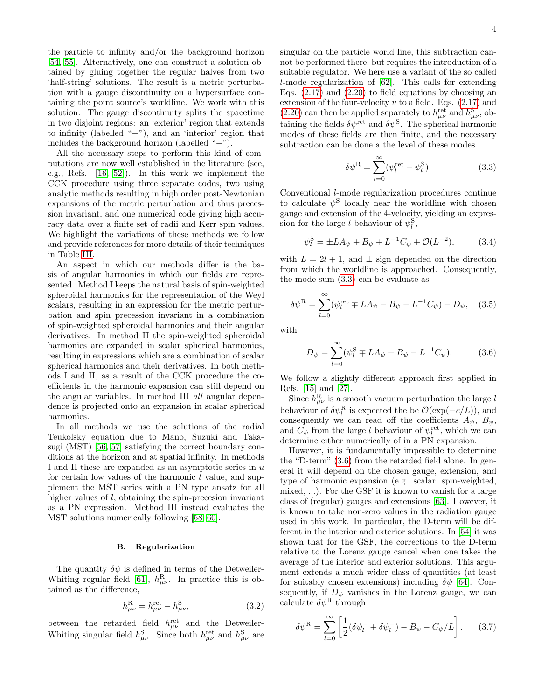the particle to infinity and/or the background horizon [\[54,](#page-10-9) [55\]](#page-10-10). Alternatively, one can construct a solution obtained by gluing together the regular halves from two 'half-string' solutions. The result is a metric perturbation with a gauge discontinuity on a hypersurface containing the point source's worldline. We work with this solution. The gauge discontinuity splits the spacetime in two disjoint regions: an 'exterior' region that extends to infinity (labelled  $+$ "), and an 'interior' region that includes the background horizon (labelled "−").

All the necessary steps to perform this kind of computations are now well established in the literature (see, e.g., Refs. [\[16,](#page-9-12) [52\]](#page-10-6)). In this work we implement the CCK procedure using three separate codes, two using analytic methods resulting in high order post-Newtonian expansions of the metric perturbation and thus precession invariant, and one numerical code giving high accuracy data over a finite set of radii and Kerr spin values. We highlight the variations of these methods we follow and provide references for more details of their techniques in Table [III.](#page-2-3)

An aspect in which our methods differ is the basis of angular harmonics in which our fields are represented. Method I keeps the natural basis of spin-weighted spheroidal harmonics for the representation of the Weyl scalars, resulting in an expression for the metric perturbation and spin precession invariant in a combination of spin-weighted spheroidal harmonics and their angular derivatives. In method II the spin-weighted spheroidal harmonics are expanded in scalar spherical harmonics, resulting in expressions which are a combination of scalar spherical harmonics and their derivatives. In both methods I and II, as a result of the CCK procedure the coefficients in the harmonic expansion can still depend on the angular variables. In method III all angular dependence is projected onto an expansion in scalar spherical harmonics.

In all methods we use the solutions of the radial Teukolsky equation due to Mano, Suzuki and Takasugi (MST) [\[56,](#page-10-11) [57\]](#page-10-12) satisfying the correct boundary conditions at the horizon and at spatial infinity. In methods I and II these are expanded as an asymptotic series in  $u$ for certain low values of the harmonic  $l$  value, and supplement the MST series with a PN type ansatz for all higher values of l, obtaining the spin-precession invariant as a PN expression. Method III instead evaluates the MST solutions numerically following [\[58](#page-10-13)[–60\]](#page-10-14).

#### B. Regularization

The quantity  $\delta \psi$  is defined in terms of the Detweiler-Whiting regular field [\[61\]](#page-10-15),  $h_{\mu\nu}^{\rm R}$ . In practice this is obtained as the difference,

$$
h_{\mu\nu}^{\rm R} = h_{\mu\nu}^{\rm ret} - h_{\mu\nu}^{\rm S},\tag{3.2}
$$

between the retarded field  $h_{\mu\nu}^{\text{ret}}$  and the Detweiler-Whiting singular field  $h^{\rm S}_{\mu\nu}$ . Since both  $h^{\rm ret}_{\mu\nu}$  and  $h^{\rm S}_{\mu\nu}$  are singular on the particle world line, this subtraction cannot be performed there, but requires the introduction of a suitable regulator. We here use a variant of the so called l-mode regularization of [\[62\]](#page-10-16). This calls for extending Eqs.  $(2.17)$  and  $(2.20)$  to field equations by choosing an extension of the four-velocity  $u$  to a field. Eqs.  $(2.17)$  and [\(2.20\)](#page-2-1) can then be applied separately to  $h^{\text{ret}}_{\mu\nu}$  and  $h^{\text{S}}_{\mu\nu}$ , obtaining the fields  $\delta\psi^{\text{ret}}$  and  $\delta\psi^{\text{S}}$ . The spherical harmonic modes of these fields are then finite, and the necessary subtraction can be done a the level of these modes

<span id="page-3-0"></span>
$$
\delta \psi^{\mathcal{R}} = \sum_{l=0}^{\infty} (\psi_l^{\text{ret}} - \psi_l^{\mathcal{S}}). \tag{3.3}
$$

Conventional l-mode regularization procedures continue to calculate  $\psi^{\rm S}$  locally near the worldline with chosen gauge and extension of the 4-velocity, yielding an expression for the large l behaviour of  $\psi_l^{\rm S}$ ,

$$
\psi_l^{\rm S} = \pm L A_{\psi} + B_{\psi} + L^{-1} C_{\psi} + \mathcal{O}(L^{-2}), \tag{3.4}
$$

with  $L = 2l + 1$ , and  $\pm$  sign depended on the direction from which the worldline is approached. Consequently, the mode-sum [\(3.3\)](#page-3-0) can be evaluate as

$$
\delta \psi^{\text{R}} = \sum_{l=0}^{\infty} (\psi_l^{\text{ret}} \mp LA_{\psi} - B_{\psi} - L^{-1}C_{\psi}) - D_{\psi}, \quad (3.5)
$$

with

<span id="page-3-1"></span>
$$
D_{\psi} = \sum_{l=0}^{\infty} (\psi_l^{\rm S} \mp L A_{\psi} - B_{\psi} - L^{-1} C_{\psi}). \tag{3.6}
$$

We follow a slightly different approach first applied in Refs. [\[15\]](#page-9-8) and [\[27\]](#page-9-10).

Since  $h_{\mu\nu}^{\rm R}$  is a smooth vacuum perturbation the large l behaviour of  $\delta \psi_l^{\text{R}}$  is expected the be  $\mathcal{O}(\exp(-c/L))$ , and consequently we can read off the coefficients  $A_{\psi}$ ,  $B_{\psi}$ , and  $C_{\psi}$  from the large l behaviour of  $\psi_l^{\text{ret}}$ , which we can determine either numerically of in a PN expansion.

However, it is fundamentally impossible to determine the "D-term" [\(3.6\)](#page-3-1) from the retarded field alone. In general it will depend on the chosen gauge, extension, and type of harmonic expansion (e.g. scalar, spin-weighted, mixed, ...). For the GSF it is known to vanish for a large class of (regular) gauges and extensions [\[63\]](#page-10-17). However, it is known to take non-zero values in the radiation gauge used in this work. In particular, the D-term will be different in the interior and exterior solutions. In [\[54\]](#page-10-9) it was shown that for the GSF, the corrections to the D-term relative to the Lorenz gauge cancel when one takes the average of the interior and exterior solutions. This argument extends a much wider class of quantities (at least for suitably chosen extensions) including  $\delta \psi$  [\[64\]](#page-10-18). Consequently, if  $D_{\psi}$  vanishes in the Lorenz gauge, we can calculate  $\delta\psi^R$  through

$$
\delta \psi^{R} = \sum_{l=0}^{\infty} \left[ \frac{1}{2} (\delta \psi_{l}^{+} + \delta \psi_{l}^{-}) - B_{\psi} - C_{\psi}/L \right].
$$
 (3.7)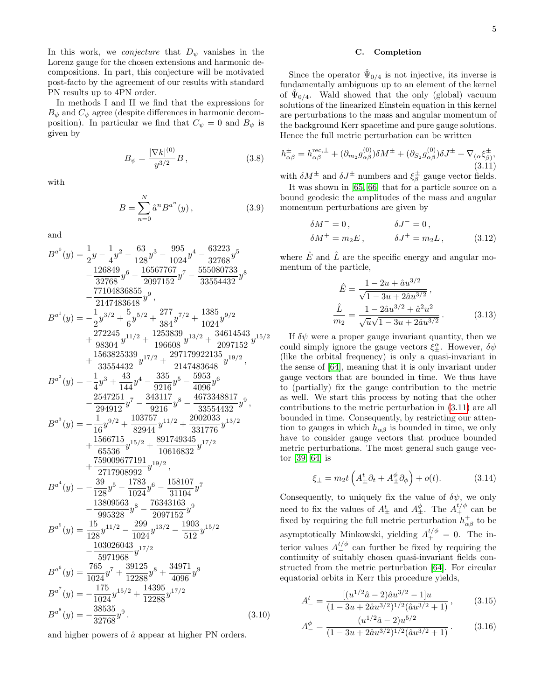In this work, we *conjecture* that  $D_{\psi}$  vanishes in the Lorenz gauge for the chosen extensions and harmonic decompositions. In part, this conjecture will be motivated post-facto by the agreement of our results with standard PN results up to 4PN order.

In methods I and II we find that the expressions for  $B_{\psi}$  and  $C_{\psi}$  agree (despite differences in harmonic decomposition). In particular we find that  $C_{\psi} = 0$  and  $B_{\psi}$  is given by

$$
B_{\psi} = \frac{|\nabla k|^{(0)}}{y^{3/2}} B , \qquad (3.8)
$$

with

$$
B = \sum_{n=0}^{N} \hat{a}^{n} B^{a^{n}}(y),
$$
 (3.9)

and

$$
B^{a^{0}}(y) = \frac{1}{2}y - \frac{1}{4}y^{2} - \frac{63}{128}y^{3} - \frac{995}{1024}y^{4} - \frac{63223}{32768}y^{5}
$$
  
\n
$$
- \frac{126849}{32768}y^{6} - \frac{16567767}{2097152}y^{7} - \frac{555080733}{33554432}y^{8}
$$
  
\n
$$
- \frac{77104836855}{2147483648}y^{9},
$$
  
\n
$$
B^{a^{1}}(y) = -\frac{1}{2}y^{3/2} + \frac{5}{6}y^{5/2} + \frac{277}{384}y^{7/2} + \frac{1385}{1024}y^{9/2}
$$
  
\n
$$
+ \frac{272245}{98304}y^{11/2} + \frac{1253839}{196608}y^{13/2} + \frac{34614543}{297152}y^{15/2}
$$
  
\n
$$
+ \frac{1563825339}{33554432}y^{17/2} + \frac{297179922135}{2147483648}y^{19/2},
$$
  
\n
$$
B^{a^{2}}(y) = -\frac{1}{4}y^{3} + \frac{43}{144}y^{4} - \frac{9316}{9216}y^{5} - \frac{5953}{4096}y^{6}
$$
  
\n
$$
- \frac{2547251}{294912}y^{7} - \frac{343117}{9216}y^{8} - \frac{4673348817}{33554432}y^{9},
$$
  
\n
$$
B^{a^{3}}(y) = -\frac{1}{16}y^{9/2} + \frac{103757}{82944}y^{11/2} + \frac{2002033}{331776}y^{13/2}
$$
  
\n
$$
+ \frac{1566715}{65536}y^{15/2} + \frac{8917
$$

and higher powers of  $\hat{a}$  appear at higher PN orders.

### C. Completion

Since the operator  $\hat{\Psi}_{0/4}$  is not injective, its inverse is fundamentally ambiguous up to an element of the kernel of  $\hat{\Psi}_{0/4}$ . Wald showed that the only (global) vacuum solutions of the linearized Einstein equation in this kernel are perturbations to the mass and angular momentum of the background Kerr spacetime and pure gauge solutions. Hence the full metric perturbation can be written

<span id="page-4-0"></span>
$$
h_{\alpha\beta}^{\pm} = h_{\alpha\beta}^{\text{rec},\pm} + (\partial_{m_2}g_{\alpha\beta}^{(0)})\delta M^{\pm} + (\partial_{S_2}g_{\alpha\beta}^{(0)})\delta J^{\pm} + \nabla_{(\alpha}\xi_{\beta)}^{\pm},
$$
\n(3.11)

with  $\delta M^{\pm}$  and  $\delta J^{\pm}$  numbers and  $\xi^{\pm}_{\beta}$  gauge vector fields.

It was shown in [\[65,](#page-10-19) [66\]](#page-10-20) that for a particle source on a bound geodesic the amplitudes of the mass and angular momentum perturbations are given by

$$
\delta M^{-} = 0, \qquad \delta J^{-} = 0,
$$
  

$$
\delta M^{+} = m_{2} E, \qquad \delta J^{+} = m_{2} L, \qquad (3.12)
$$

where  $\hat{E}$  and  $\hat{L}$  are the specific energy and angular momentum of the particle,

$$
\hat{E} = \frac{1 - 2u + \hat{a}u^{3/2}}{\sqrt{1 - 3u + 2\hat{a}u^{3/2}}},
$$
\n
$$
\frac{\hat{L}}{m_2} = \frac{1 - 2\hat{a}u^{3/2} + \hat{a}^2u^2}{\sqrt{u}\sqrt{1 - 3u + 2\hat{a}u^{3/2}}}.
$$
\n(3.13)

If  $\delta\psi$  were a proper gauge invariant quantity, then we could simply ignore the gauge vectors  $\xi_{\pm}^{\alpha}$ . However,  $\delta\psi$ (like the orbital frequency) is only a quasi-invariant in the sense of [\[64\]](#page-10-18), meaning that it is only invariant under gauge vectors that are bounded in time. We thus have to (partially) fix the gauge contribution to the metric as well. We start this process by noting that the other contributions to the metric perturbation in [\(3.11\)](#page-4-0) are all bounded in time. Consequently, by restricting our attention to gauges in which  $h_{\alpha\beta}$  is bounded in time, we only have to consider gauge vectors that produce bounded metric perturbations. The most general such gauge vector [\[39,](#page-9-18) [64\]](#page-10-18) is

$$
\xi_{\pm} = m_2 t \left( A_{\pm}^t \partial_t + A_{\pm}^{\phi} \partial_{\phi} \right) + o(t). \tag{3.14}
$$

Consequently, to uniquely fix the value of  $\delta\psi$ , we only need to fix the values of  $A_{\pm}^t$  and  $A_{\pm}^{\phi}$ . The  $A_{+}^{t/\phi}$  can be fixed by requiring the full metric perturbation  $h^+_{\alpha\beta}$  to be asymptotically Minkowski, yielding  $A_{+}^{t/\phi} = 0$ . The interior values  $A_{-}^{t/\phi}$  can further be fixed by requiring the continuity of suitably chosen quasi-invariant fields constructed from the metric perturbation [\[64\]](#page-10-18). For circular equatorial orbits in Kerr this procedure yields,

$$
A_{-}^{t} = \frac{[(u^{1/2}\hat{a} - 2)\hat{a}u^{3/2} - 1]u}{(1 - 3u + 2\hat{a}u^{3/2})^{1/2}(\hat{a}u^{3/2} + 1)},
$$
(3.15)

$$
A_{-}^{\phi} = \frac{(u^{1/2}\hat{a} - 2)u^{5/2}}{(1 - 3u + 2\hat{a}u^{3/2})^{1/2}(\hat{a}u^{3/2} + 1)}.
$$
 (3.16)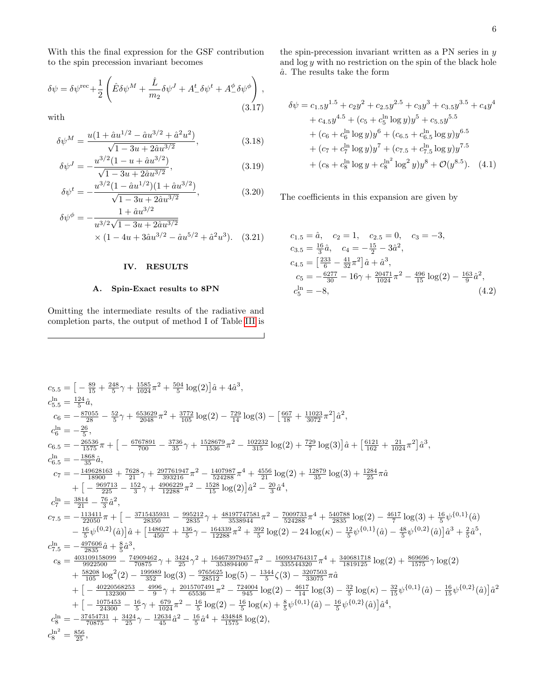With this the final expression for the GSF contribution to the spin precession invariant becomes

$$
\delta\psi = \delta\psi^{\text{rec}} + \frac{1}{2} \left( \hat{E}\delta\psi^M + \frac{\hat{L}}{m_2} \delta\psi^J + A^t_- \delta\psi^t + A^{\phi}_- \delta\psi^{\phi} \right),
$$
\n(3.17)

with

$$
\delta \psi^M = \frac{u(1 + \hat{a}u^{1/2} - \hat{a}u^{3/2} + \hat{a}^2u^2)}{\sqrt{1 - 3u + 2\hat{a}u^{3/2}}},
$$
(3.18)

$$
\delta \psi^J = -\frac{u^{3/2} (1 - u + \hat{a} u^{3/2})}{\sqrt{1 - 3u + 2\hat{a} u^{3/2}}},\tag{3.19}
$$

$$
\delta\psi^t = -\frac{u^{3/2}(1 - \hat{a}u^{1/2})(1 + \hat{a}u^{3/2})}{\sqrt{1 - 3u + 2\hat{a}u^{3/2}}},
$$
\n(3.20)

$$
\delta\psi^{\phi} = -\frac{1 + \hat{a}u^{3/2}}{u^{3/2}\sqrt{1 - 3u + 2\hat{a}u^{3/2}}}
$$

$$
\times (1 - 4u + 3\hat{a}u^{3/2} - \hat{a}u^{5/2} + \hat{a}^2u^3). \quad (3.21)
$$

# IV. RESULTS

# A. Spin-Exact results to 8PN

Omitting the intermediate results of the radiative and completion parts, the output of method I of Table [III](#page-2-3) is the spin-precession invariant written as a PN series in  $\boldsymbol{y}$ and  $\log y$  with no restriction on the spin of the black hole  $\hat{a}$ . The results take the form

<span id="page-5-0"></span>
$$
\delta\psi = c_{1.5}y^{1.5} + c_{2}y^{2} + c_{2.5}y^{2.5} + c_{3}y^{3} + c_{3.5}y^{3.5} + c_{4}y^{4}
$$
  
+ 
$$
c_{4.5}y^{4.5} + (c_{5} + c_{5}^{\ln}\log y)y^{5} + c_{5.5}y^{5.5}
$$
  
+ 
$$
(c_{6} + c_{6}^{\ln}\log y)y^{6} + (c_{6.5} + c_{6.5}^{\ln}\log y)y^{6.5}
$$
  
+ 
$$
(c_{7} + c_{7}^{\ln}\log y)y^{7} + (c_{7.5} + c_{7.5}^{\ln}\log y)y^{7.5}
$$
  
+ 
$$
(c_{8} + c_{8}^{\ln}\log y + c_{8}^{\ln^{2}\log^{2}y})y^{8} + \mathcal{O}(y^{8.5}).
$$
 (4.1)

The coefficients in this expansion are given by

$$
c_{1.5} = \hat{a}, \quad c_2 = 1, \quad c_{2.5} = 0, \quad c_3 = -3,
$$
  
\n
$$
c_{3.5} = \frac{16}{3}\hat{a}, \quad c_4 = -\frac{15}{2} - 3\hat{a}^2,
$$
  
\n
$$
c_{4.5} = \left[\frac{233}{6} - \frac{41}{32}\pi^2\right]\hat{a} + \hat{a}^3,
$$
  
\n
$$
c_5 = -\frac{6277}{30} - 16\gamma + \frac{20471}{1024}\pi^2 - \frac{496}{15}\log(2) - \frac{163}{9}\hat{a}^2,
$$
  
\n
$$
c_5^{\ln} = -8,
$$
\n(4.2)

$$
\begin{array}{l} c_{5.5} = \left[-\frac{89}{15} + \frac{248}{5} \gamma + \frac{1585}{1024} \pi^2 + \frac{504}{5} \log(2)\right] \hat{a} + 4 \hat{a}^3, \\ c_{5.5}^1 = \frac{124}{5} \hat{a}, \\ c_6 = - \frac{87055}{28} - \frac{52}{5} \gamma + \frac{653629}{2048} \pi^2 + \frac{3772}{105} \log(2) - \frac{729}{14} \log(3) - \left[\frac{667}{18} + \frac{11023}{3072} \pi^2\right] \hat{a}^2, \\ c_{6.5} = - \frac{26536}{157} \pi + \left[-\frac{6767891}{700} - \frac{3736}{35} \gamma + \frac{1528679}{1536} \pi^2 - \frac{102232}{315} \log(2) + \frac{729}{7} \log(3)\right] \hat{a} + \left[\frac{6121}{162} + \frac{21}{1024} \pi^2\right] \hat{a}^3, \\ c_{6.5} = - \frac{1868}{356} \hat{a}, \\ c_{6.5} = - \frac{1868}{356} \hat{a}, \\ c_7 = - \frac{1496231}{18900} + \frac{7628}{211} \gamma + \frac{297761947}{393216} \pi^2 - \frac{1407987}{524288} \pi^4 + \frac{4556}{211} \log(2) + \frac{12879}{35} \log(3) + \frac{1284}{25} \pi \hat{a} \\ + \left[-\frac{99713}{225} - \frac{152}{3} \gamma + \frac{4906229}{12288} \pi^2 - \frac{1528}{524288} \pi^4 + \frac{4556}{211} \log(2) + \frac{1284}{35} \log(2) - \frac{4617}{7} \log(3) + \frac{16}{5} \psi^{\{0,1\}}(\hat{a}) \\ - \frac{113411}{25} - \frac{
$$

 $\overline{\phantom{0}}$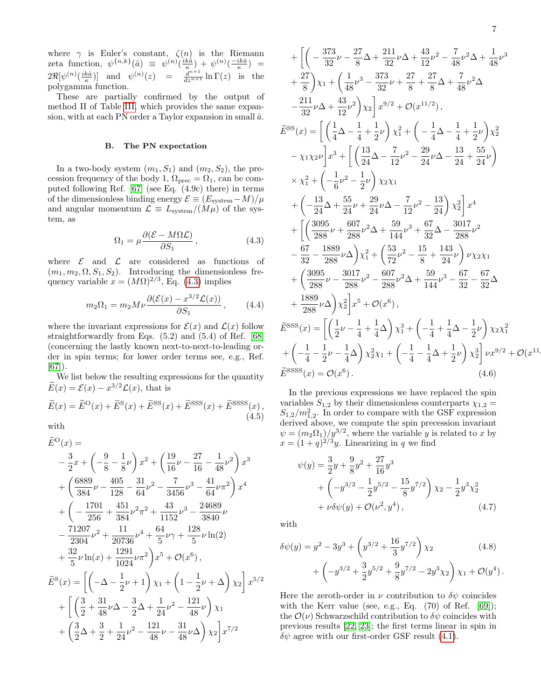where  $\gamma$  is Euler's constant,  $\zeta(n)$  is the Riemann zeta function,  $\psi^{\{n,k\}}(\hat{a}) = \psi^{(n)}(\frac{ik\hat{a}}{\kappa}) + \psi^{(n)}(\frac{-ik\hat{a}}{\kappa}) =$  $2\Re[\psi^{(n)}(\frac{ik\hat{a}}{\kappa})]$  and  $\psi^{(n)}(z) = \frac{d^{n+1}}{dz^{n+1}}\ln\Gamma(z)$  is the polygamma function.

These are partially confirmed by the output of method II of Table [III,](#page-2-3) which provides the same expansion, with at each PN order a Taylor expansion in small  $\hat{a}$ .

#### B. The PN expectation

In a two-body system  $(m_1, S_1)$  and  $(m_2, S_2)$ , the precession frequency of the body 1,  $\Omega_{\text{prec}} = \Omega_1$ , can be computed following Ref. [\[67\]](#page-10-21) (see Eq. (4.9c) there) in terms of the dimensionless binding energy  $\mathcal{E} \equiv (E_{\text{system}} - M)/\mu$ and angular momentum  $\mathcal{L} \equiv L_{\text{system}}/(M\mu)$  of the system, as

<span id="page-6-0"></span>
$$
\Omega_1 = \mu \frac{\partial (\mathcal{E} - M\Omega \mathcal{L})}{\partial S_1},\tag{4.3}
$$

where  $\mathcal E$  and  $\mathcal L$  are considered as functions of  $(m_1, m_2, \Omega, S_1, S_2)$ . Introducing the dimensionless frequency variable  $x = (M\Omega)^{2/3}$ , Eq. [\(4.3\)](#page-6-0) implies

$$
m_2\Omega_1 = m_2 M \nu \frac{\partial (\mathcal{E}(x) - x^{3/2} \mathcal{L}(x))}{\partial S_1}, \qquad (4.4)
$$

where the invariant expressions for  $\mathcal{E}(x)$  and  $\mathcal{L}(x)$  follow straightforwardly from Eqs. (5.2) and (5.4) of Ref. [\[68\]](#page-10-22) (concerning the lastly known next-to-next-to-leading order in spin terms; for lower order terms see, e.g., Ref. [\[67\]](#page-10-21)).

We list below the resulting expressions for the quantity  $\widetilde{E}(x) = \mathcal{E}(x) - x^{3/2} \mathcal{L}(x)$ , that is

$$
\widetilde{E}(x) = \widetilde{E}^{\text{O}}(x) + \widetilde{E}^{\text{S}}(x) + \widetilde{E}^{\text{SS}}(x) + \widetilde{E}^{\text{SSSS}}(x) + \widetilde{E}^{\text{SSSS}}(x),
$$
\n(4.5)

with

$$
\tilde{E}^{\text{O}}(x) =
$$
\n
$$
-\frac{3}{2}x + \left(-\frac{9}{8} - \frac{1}{8}\nu\right)x^{2} + \left(\frac{19}{16}\nu - \frac{27}{16} - \frac{1}{48}\nu^{2}\right)x^{3}
$$
\n
$$
+\left(\frac{6889}{384}\nu - \frac{405}{128} - \frac{31}{64}\nu^{2} - \frac{7}{3456}\nu^{3} - \frac{41}{64}\nu\pi^{2}\right)x^{4}
$$
\n
$$
+\left(-\frac{1701}{256} + \frac{451}{384}\nu^{2}\pi^{2} + \frac{43}{1152}\nu^{3} - \frac{24689}{3840}\nu\right)
$$
\n
$$
-\frac{71207}{2304}\nu^{2} + \frac{11}{20736}\nu^{4} + \frac{64}{5}\nu\gamma + \frac{128}{5}\nu\ln(2)
$$
\n
$$
+\frac{32}{5}\nu\ln(x) + \frac{1291}{1024}\nu\pi^{2}\right)x^{5} + \mathcal{O}(x^{6}),
$$
\n
$$
\tilde{E}^{S}(x) = \left[\left(-\Delta - \frac{1}{2}\nu + 1\right)\chi_{1} + \left(1 - \frac{1}{2}\nu + \Delta\right)\chi_{2}\right]x^{5/2}
$$
\n
$$
+\left[\left(\frac{3}{2} + \frac{31}{48}\nu\Delta - \frac{3}{2}\Delta + \frac{1}{24}\nu^{2} - \frac{121}{48}\nu\right)\chi_{1} + \left(\frac{3}{2}\Delta + \frac{3}{2} + \frac{1}{24}\nu^{2} - \frac{121}{48}\nu\Delta\right)\chi_{2}\right]x^{7/2}
$$

+ 
$$
\left[ \left( -\frac{373}{32} \nu - \frac{27}{8} \Delta + \frac{211}{32} \nu \Delta + \frac{43}{12} \nu^2 - \frac{7}{48} \nu^2 \Delta + \frac{1}{48} \nu^3 \right.\n+ \frac{27}{8} \right) \chi_1 + \left( \frac{1}{48} \nu^3 - \frac{373}{32} \nu + \frac{27}{8} + \frac{27}{8} \Delta + \frac{7}{48} \nu^2 \Delta \right.\n- \frac{211}{32} \nu \Delta + \frac{43}{12} \nu^2 \right) \chi_2 \left[ x^{9/2} + \mathcal{O}(x^{11/2}),
$$
  
\n $\widetilde{E}^{SS}(x) = \left[ \left( \frac{1}{4} \Delta - \frac{1}{4} + \frac{1}{2} \nu \right) \chi_1^2 + \left( -\frac{1}{4} \Delta - \frac{1}{4} + \frac{1}{2} \nu \right) \chi_2^2 \right.\n- \chi_1 \chi_2 \nu \right] x^3 + \left[ \left( \frac{13}{24} \Delta - \frac{7}{12} \nu^2 - \frac{29}{24} \nu \Delta - \frac{13}{24} + \frac{55}{24} \nu \right)\n\times \chi_1^2 + \left( -\frac{1}{6} \nu^2 - \frac{1}{2} \nu \right) \chi_2 \chi_1 \right.\n+ \left( -\frac{13}{24} \Delta + \frac{55}{24} \nu + \frac{29}{24} \nu \Delta - \frac{7}{12} \nu^2 - \frac{13}{24} \right) \chi_2^2 \right] x^4 + \left[ \left( \frac{3095}{288} \nu + \frac{607}{288} \nu^2 \Delta + \frac{59}{144} \nu^3 + \frac{67}{32} \Delta - \frac{3017}{288} \nu^2 \right.\n- \frac{67}{32} - \frac{1889}{288} \nu \Delta \right) \chi_1^2 + \left( \frac{53}{72} \nu^2 - \frac{15}{8} + \frac{143}{24} \nu \right) \nu \chi_2 \chi_1 \right.\n+ \left( \frac{3095}{288} \nu - \frac{30$ 

In the previous expressions we have replaced the spin variables  $S_{1,2}$  by their dimensionless counterparts  $\chi_{1,2}$  =  $S_{1,2}/m_{1,2}^2$ . In order to compare with the GSF expression derived above, we compute the spin precession invariant  $\psi = (m_2 \Omega_1) / y^{3/2}$ , where the variable y is related to x by  $x = (1+q)^{2/3}y$ . Linearizing in q we find

$$
\psi(y) = \frac{3}{2}y + \frac{9}{8}y^2 + \frac{27}{16}y^3
$$
  
+  $\left(-y^{3/2} - \frac{1}{2}y^{5/2} - \frac{15}{8}y^{7/2}\right)\chi_2 - \frac{1}{2}y^3\chi_2^2$   
+  $\nu \delta \psi(y) + \mathcal{O}(\nu^2, y^4)$ , (4.7)

with

$$
\delta\psi(y) = y^2 - 3y^3 + \left(y^{3/2} + \frac{16}{3}y^{7/2}\right)\chi_2
$$
\n
$$
+ \left(-y^{3/2} + \frac{3}{2}y^{5/2} + \frac{9}{8}y^{7/2} - 2y^3\chi_2\right)\chi_1 + \mathcal{O}(y^4).
$$
\n(4.8)

Here the zeroth-order in  $\nu$  contribution to  $\delta\psi$  coincides with the Kerr value (see, e.g., Eq.  $(70)$  of Ref.  $[69]$ ); the  $\mathcal{O}(\nu)$  Schwarzschild contribution to  $\delta\psi$  coincides with previous results [\[22,](#page-9-3) [23\]](#page-9-4); the first terms linear in spin in  $\delta\psi$  agree with our first-order GSF result [\(4.1\)](#page-5-0).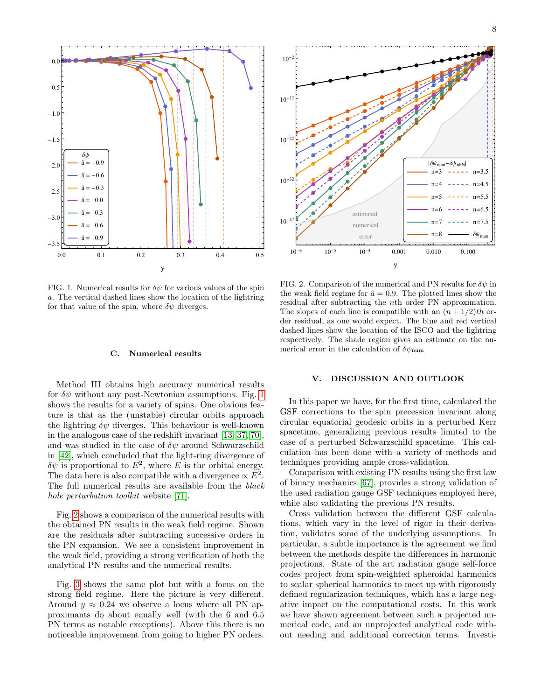

<span id="page-7-0"></span>FIG. 1. Numerical results for  $\delta\psi$  for various values of the spin a. The vertical dashed lines show the location of the lightring for that value of the spin, where  $\delta\psi$  diverges.

#### C. Numerical results

Method III obtains high accuracy numerical results for  $\delta\psi$  without any post-Newtonian assumptions. Fig. [1](#page-7-0) shows the results for a variety of spins. One obvious feature is that as the (unstable) circular orbits approach the lightring  $\delta\psi$  diverges. This behaviour is well-known in the analogous case of the redshift invariant [\[13,](#page-9-20) [37,](#page-9-15) [70\]](#page-10-24), and was studied in the case of  $\delta\psi$  around Schwarzschild in [\[42\]](#page-10-3), which concluded that the light-ring divergence of  $\delta\psi$  is proportional to  $E^2$ , where E is the orbital energy. The data here is also compatible with a divergence  $\propto E^2$ . The full numerical results are available from the black hole perturbation toolkit website [\[71\]](#page-10-25). noticeable improvement from going to higher PN orders. estimated

Fig. [2](#page-7-1) shows a comparison of the numerical results with the obtained PN results in the weak field regime. Shown are the residuals after subtracting successive orders in the PN expansion. We see a consistent improvement in the weak field, providing a strong verification of both the analytical PN results and the numerical results.

Fig. [3](#page-8-6) shows the same plot but with a focus on the strong field regime. Here the picture is very different. Around  $y \approx 0.24$  we observe a locus where all PN approximants do about equally well (with the 6 and 6.5 PN terms as notable exceptions). Above this there is no



<span id="page-7-1"></span>FIG. 2. Comparison of the numerical and PN results for  $\delta\psi$  in the weak field regime for  $\hat{a} = 0.9$ . The plotted lines show the residual after subtracting the nth order PN approximation. The slopes of each line is compatible with an  $(n+1/2)$ th order residual, as one would expect. The blue and red vertical dashed lines show the location of the ISCO and the lightring respectively. The shade region gives an estimate on the numerical error in the calculation of  $\delta\psi_{\text{num}}$ 

### V. DISCUSSION AND OUTLOOK

In this paper we have, for the first time, calculated the GSF corrections to the spin precession invariant along circular equatorial geodesic orbits in a perturbed Kerr spacetime, generalizing previous results limited to the case of a perturbed Schwarzschild spacetime. This calculation has been done with a variety of methods and techniques providing ample cross-validation.

Comparison with existing PN results using the first law of binary mechanics [\[67\]](#page-10-21), provides a strong validation of the used radiation gauge GSF techniques employed here, while also validating the previous PN results.

Cross validation between the different GSF calculations, which vary in the level of rigor in their derivation, validates some of the underlying assumptions. In particular, a subtle importance is the agreement we find between the methods despite the differences in harmonic projections. State of the art radiation gauge self-force codes project from spin-weighted spheroidal harmonics to scalar spherical harmonics to meet up with rigorously defined regularization techniques, which has a large negative impact on the computational costs. In this work we have shown agreement between such a projected numerical code, and an unprojected analytical code without needing and additional correction terms. Investi-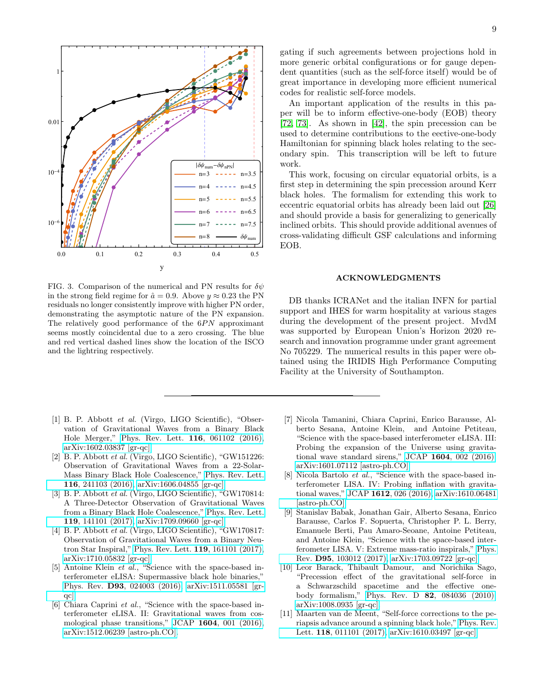

<span id="page-8-6"></span>FIG. 3. Comparison of the numerical and PN results for  $\delta \psi$ in the strong field regime for  $\hat{a} = 0.9$ . Above  $y \approx 0.23$  the PN residuals no longer consistently improve with higher PN order, demonstrating the asymptotic nature of the PN expansion. The relatively good performance of the  $6PN$  approximant seems mostly coincidental due to a zero crossing. The blue and red vertical dashed lines show the location of the ISCO and the lightring respectively.

- <span id="page-8-0"></span>[1] B. P. Abbott et al. (Virgo, LIGO Scientific), "Observation of Gravitational Waves from a Binary Black Hole Merger," [Phys. Rev. Lett.](http://dx.doi.org/ 10.1103/PhysRevLett.116.061102) 116, 061102 (2016), [arXiv:1602.03837 \[gr-qc\].](http://arxiv.org/abs/1602.03837)
- [2] B. P. Abbott et al. (Virgo, LIGO Scientific), "GW151226: Observation of Gravitational Waves from a 22-Solar-Mass Binary Black Hole Coalescence," [Phys. Rev. Lett.](http://dx.doi.org/10.1103/PhysRevLett.116.241103) 116[, 241103 \(2016\),](http://dx.doi.org/10.1103/PhysRevLett.116.241103) [arXiv:1606.04855 \[gr-qc\].](http://arxiv.org/abs/1606.04855)
- [3] B. P. Abbott et al. (Virgo, LIGO Scientific), "GW170814: A Three-Detector Observation of Gravitational Waves from a Binary Black Hole Coalescence," [Phys. Rev. Lett.](http://dx.doi.org/10.1103/PhysRevLett.119.141101) 119[, 141101 \(2017\),](http://dx.doi.org/10.1103/PhysRevLett.119.141101) [arXiv:1709.09660 \[gr-qc\].](http://arxiv.org/abs/1709.09660)
- <span id="page-8-1"></span>[4] B. P. Abbott et al. (Virgo, LIGO Scientific), "GW170817: Observation of Gravitational Waves from a Binary Neutron Star Inspiral," [Phys. Rev. Lett.](http://dx.doi.org/10.1103/PhysRevLett.119.161101) 119, 161101 (2017), [arXiv:1710.05832 \[gr-qc\].](http://arxiv.org/abs/1710.05832)
- <span id="page-8-2"></span>[5] Antoine Klein et al., "Science with the space-based interferometer eLISA: Supermassive black hole binaries," Phys. Rev. D93[, 024003 \(2016\),](http://dx.doi.org/10.1103/PhysRevD.93.024003) [arXiv:1511.05581 \[gr](http://arxiv.org/abs/1511.05581)[qc\].](http://arxiv.org/abs/1511.05581)
- [6] Chiara Caprini et al., "Science with the space-based interferometer eLISA. II: Gravitational waves from cosmological phase transitions," JCAP 1604[, 001 \(2016\),](http://dx.doi.org/ 10.1088/1475-7516/2016/04/001) [arXiv:1512.06239 \[astro-ph.CO\].](http://arxiv.org/abs/1512.06239)

An important application of the results in this paper will be to inform effective-one-body (EOB) theory [\[72,](#page-10-26) [73\]](#page-10-27). As shown in [\[42\]](#page-10-3), the spin precession can be used to determine contributions to the eective-one-body Hamiltonian for spinning black holes relating to the secondary spin. This transcription will be left to future work.

This work, focusing on circular equatorial orbits, is a first step in determining the spin precession around Kerr black holes. The formalism for extending this work to eccentric equatorial orbits has already been laid out [\[26\]](#page-9-7) and should provide a basis for generalizing to generically inclined orbits. This should provide additional avenues of cross-validating difficult GSF calculations and informing EOB.

### ACKNOWLEDGMENTS

DB thanks ICRANet and the italian INFN for partial support and IHES for warm hospitality at various stages during the development of the present project. MvdM was supported by European Union's Horizon 2020 research and innovation programme under grant agreement No 705229. The numerical results in this paper were obtained using the IRIDIS High Performance Computing Facility at the University of Southampton.

- [7] Nicola Tamanini, Chiara Caprini, Enrico Barausse, Alberto Sesana, Antoine Klein, and Antoine Petiteau, "Science with the space-based interferometer eLISA. III: Probing the expansion of the Universe using gravitational wave standard sirens," JCAP 1604[, 002 \(2016\),](http://dx.doi.org/ 10.1088/1475-7516/2016/04/002) [arXiv:1601.07112 \[astro-ph.CO\].](http://arxiv.org/abs/1601.07112)
- [8] Nicola Bartolo *et al.*, "Science with the space-based interferometer LISA. IV: Probing inflation with gravitational waves," JCAP 1612[, 026 \(2016\),](http://dx.doi.org/10.1088/1475-7516/2016/12/026) [arXiv:1610.06481](http://arxiv.org/abs/1610.06481) [\[astro-ph.CO\].](http://arxiv.org/abs/1610.06481)
- <span id="page-8-3"></span>[9] Stanislav Babak, Jonathan Gair, Alberto Sesana, Enrico Barausse, Carlos F. Sopuerta, Christopher P. L. Berry, Emanuele Berti, Pau Amaro-Seoane, Antoine Petiteau, and Antoine Klein, "Science with the space-based interferometer LISA. V: Extreme mass-ratio inspirals," [Phys.](http://dx.doi.org/10.1103/PhysRevD.95.103012) Rev. D95[, 103012 \(2017\),](http://dx.doi.org/10.1103/PhysRevD.95.103012) [arXiv:1703.09722 \[gr-qc\].](http://arxiv.org/abs/1703.09722)
- <span id="page-8-4"></span>[10] Leor Barack, Thibault Damour, and Norichika Sago, "Precession effect of the gravitational self-force in a Schwarzschild spacetime and the effective onebody formalism," Phys. Rev. D 82[, 084036 \(2010\),](http://dx.doi.org/ 10.1103/PhysRevD.82.084036) [arXiv:1008.0935 \[gr-qc\].](http://arxiv.org/abs/1008.0935)
- <span id="page-8-5"></span>[11] Maarten van de Meent, "Self-force corrections to the periapsis advance around a spinning black hole," [Phys. Rev.](http://dx.doi.org/10.1103/PhysRevLett.118.011101) Lett. 118[, 011101 \(2017\),](http://dx.doi.org/10.1103/PhysRevLett.118.011101) [arXiv:1610.03497 \[gr-qc\].](http://arxiv.org/abs/1610.03497)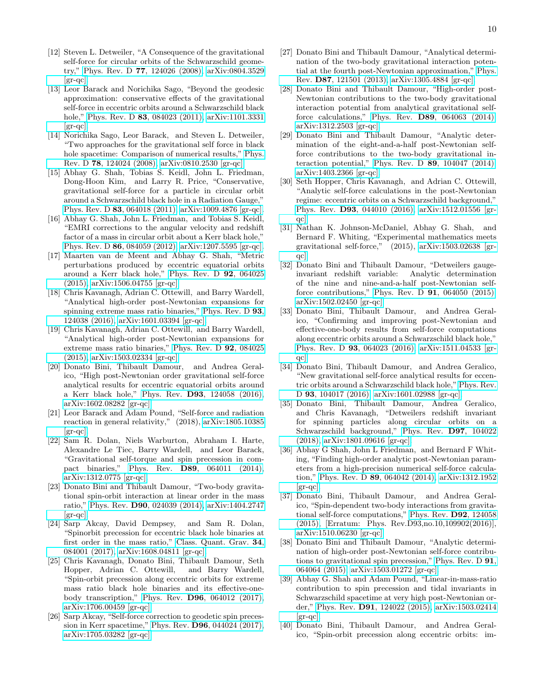- <span id="page-9-0"></span>[12] Steven L. Detweiler, "A Consequence of the gravitational self-force for circular orbits of the Schwarzschild geometry," Phys. Rev. D 77[, 124026 \(2008\),](http://dx.doi.org/10.1103/PhysRevD.77.124026) [arXiv:0804.3529](http://arxiv.org/abs/0804.3529)  $\left[\text{gr-qc}\right].$
- <span id="page-9-20"></span>[13] Leor Barack and Norichika Sago, "Beyond the geodesic approximation: conservative effects of the gravitational self-force in eccentric orbits around a Schwarzschild black hole," Phys. Rev. D **83**[, 084023 \(2011\),](http://dx.doi.org/ 10.1103/PhysRevD.83.084023) [arXiv:1101.3331](http://arxiv.org/abs/1101.3331) [\[gr-qc\].](http://arxiv.org/abs/1101.3331)
- [14] Norichika Sago, Leor Barack, and Steven L. Detweiler, "Two approaches for the gravitational self force in black hole spacetime: Comparison of numerical results," [Phys.](http://dx.doi.org/ 10.1103/PhysRevD.78.124024) Rev. D 78[, 124024 \(2008\),](http://dx.doi.org/ 10.1103/PhysRevD.78.124024) [arXiv:0810.2530 \[gr-qc\].](http://arxiv.org/abs/0810.2530)
- <span id="page-9-8"></span>[15] Abhay G. Shah, Tobias S. Keidl, John L. Friedman, Dong-Hoon Kim, and Larry R. Price, "Conservative, gravitational self-force for a particle in circular orbit around a Schwarzschild black hole in a Radiation Gauge," Phys. Rev. D 83[, 064018 \(2011\),](http://dx.doi.org/ 10.1103/PhysRevD.83.064018) [arXiv:1009.4876 \[gr-qc\].](http://arxiv.org/abs/1009.4876)
- <span id="page-9-12"></span>[16] Abhay G. Shah, John L. Friedman, and Tobias S. Keidl, "EMRI corrections to the angular velocity and redshift factor of a mass in circular orbit about a Kerr black hole," Phys. Rev. D 86[, 084059 \(2012\),](http://dx.doi.org/ 10.1103/PhysRevD.86.084059) [arXiv:1207.5595 \[gr-qc\].](http://arxiv.org/abs/1207.5595)
- <span id="page-9-19"></span>[17] Maarten van de Meent and Abhay G. Shah, "Metric perturbations produced by eccentric equatorial orbits around a Kerr black hole," [Phys. Rev. D](http://dx.doi.org/10.1103/PhysRevD.92.064025) 92, 064025 [\(2015\),](http://dx.doi.org/10.1103/PhysRevD.92.064025) [arXiv:1506.04755 \[gr-qc\].](http://arxiv.org/abs/1506.04755)
- <span id="page-9-13"></span>[18] Chris Kavanagh, Adrian C. Ottewill, and Barry Wardell, "Analytical high-order post-Newtonian expansions for spinning extreme mass ratio binaries," [Phys. Rev. D](http://dx.doi.org/10.1103/PhysRevD.93.124038) 93, [124038 \(2016\),](http://dx.doi.org/10.1103/PhysRevD.93.124038) [arXiv:1601.03394 \[gr-qc\].](http://arxiv.org/abs/1601.03394)
- <span id="page-9-9"></span>[19] Chris Kavanagh, Adrian C. Ottewill, and Barry Wardell, "Analytical high-order post-Newtonian expansions for extreme mass ratio binaries," [Phys. Rev. D](http://dx.doi.org/10.1103/PhysRevD.92.084025) 92, 084025 [\(2015\),](http://dx.doi.org/10.1103/PhysRevD.92.084025) [arXiv:1503.02334 \[gr-qc\].](http://arxiv.org/abs/1503.02334)
- <span id="page-9-1"></span>[20] Donato Bini, Thibault Damour, and Andrea Geralico, "High post-Newtonian order gravitational self-force analytical results for eccentric equatorial orbits around a Kerr black hole," Phys. Rev. D93[, 124058 \(2016\),](http://dx.doi.org/10.1103/PhysRevD.93.124058) [arXiv:1602.08282 \[gr-qc\].](http://arxiv.org/abs/1602.08282)
- <span id="page-9-2"></span>[21] Leor Barack and Adam Pound, "Self-force and radiation reaction in general relativity," (2018), [arXiv:1805.10385](http://arxiv.org/abs/1805.10385)  $\left[\text{gr-qc}\right]$ .
- <span id="page-9-3"></span>[22] Sam R. Dolan, Niels Warburton, Abraham I. Harte, Alexandre Le Tiec, Barry Wardell, and Leor Barack, "Gravitational self-torque and spin precession in compact binaries," Phys. Rev. D89[, 064011 \(2014\),](http://dx.doi.org/ 10.1103/PhysRevD.89.064011) [arXiv:1312.0775 \[gr-qc\].](http://arxiv.org/abs/1312.0775)
- <span id="page-9-4"></span>[23] Donato Bini and Thibault Damour, "Two-body gravitational spin-orbit interaction at linear order in the mass ratio," Phys. Rev. D90[, 024039 \(2014\),](http://dx.doi.org/10.1103/PhysRevD.90.024039) [arXiv:1404.2747](http://arxiv.org/abs/1404.2747)  $\left[\text{gr-qc}\right]$ .
- <span id="page-9-5"></span>[24] Sarp Akcay, David Dempsey, and Sam R. Dolan, "Spinorbit precession for eccentric black hole binaries at first order in the mass ratio," [Class. Quant. Grav.](http://dx.doi.org/10.1088/1361-6382/aa61d6) 34, [084001 \(2017\),](http://dx.doi.org/10.1088/1361-6382/aa61d6) [arXiv:1608.04811 \[gr-qc\].](http://arxiv.org/abs/1608.04811)
- <span id="page-9-6"></span>[25] Chris Kavanagh, Donato Bini, Thibault Damour, Seth Hopper, Adrian C. Ottewill, and Barry Wardell, "Spin-orbit precession along eccentric orbits for extreme mass ratio black hole binaries and its effective-onebody transcription," Phys. Rev. D96[, 064012 \(2017\),](http://dx.doi.org/10.1103/PhysRevD.96.064012) [arXiv:1706.00459 \[gr-qc\].](http://arxiv.org/abs/1706.00459)
- <span id="page-9-7"></span>[26] Sarp Akcay, "Self-force correction to geodetic spin precession in Kerr spacetime," Phys. Rev. D96[, 044024 \(2017\),](http://dx.doi.org/10.1103/PhysRevD.96.044024) [arXiv:1705.03282 \[gr-qc\].](http://arxiv.org/abs/1705.03282)
- <span id="page-9-10"></span>[27] Donato Bini and Thibault Damour, "Analytical determination of the two-body gravitational interaction potential at the fourth post-Newtonian approximation," [Phys.](http://dx.doi.org/ 10.1103/PhysRevD.87.121501) Rev. D87[, 121501 \(2013\),](http://dx.doi.org/ 10.1103/PhysRevD.87.121501) [arXiv:1305.4884 \[gr-qc\].](http://arxiv.org/abs/1305.4884)
- [28] Donato Bini and Thibault Damour, "High-order post-Newtonian contributions to the two-body gravitational interaction potential from analytical gravitational selfforce calculations," Phys. Rev. D89[, 064063 \(2014\),](http://dx.doi.org/10.1103/PhysRevD.89.064063) [arXiv:1312.2503 \[gr-qc\].](http://arxiv.org/abs/1312.2503)
- [29] Donato Bini and Thibault Damour, "Analytic determination of the eight-and-a-half post-Newtonian selfforce contributions to the two-body gravitational interaction potential," Phys. Rev. D 89[, 104047 \(2014\),](http://dx.doi.org/ 10.1103/PhysRevD.89.104047) [arXiv:1403.2366 \[gr-qc\].](http://arxiv.org/abs/1403.2366)
- [30] Seth Hopper, Chris Kavanagh, and Adrian C. Ottewill, "Analytic self-force calculations in the post-Newtonian regime: eccentric orbits on a Schwarzschild background," Phys. Rev. D93[, 044010 \(2016\),](http://dx.doi.org/ 10.1103/PhysRevD.93.044010) [arXiv:1512.01556 \[gr](http://arxiv.org/abs/1512.01556)[qc\].](http://arxiv.org/abs/1512.01556)
- [31] Nathan K. Johnson-McDaniel, Abhay G. Shah, and Bernard F. Whiting, "Experimental mathematics meets gravitational self-force," (2015), [arXiv:1503.02638 \[gr](http://arxiv.org/abs/1503.02638)[qc\].](http://arxiv.org/abs/1503.02638)
- [32] Donato Bini and Thibault Damour, "Detweilers gaugeinvariant redshift variable: Analytic determination of the nine and nine-and-a-half post-Newtonian selfforce contributions," Phys. Rev. D 91[, 064050 \(2015\),](http://dx.doi.org/ 10.1103/PhysRevD.91.064050) [arXiv:1502.02450 \[gr-qc\].](http://arxiv.org/abs/1502.02450)
- [33] Donato Bini, Thibault Damour, and Andrea Geralico, "Confirming and improving post-Newtonian and effective-one-body results from self-force computations along eccentric orbits around a Schwarzschild black hole," Phys. Rev. D 93[, 064023 \(2016\),](http://dx.doi.org/10.1103/PhysRevD.93.064023) [arXiv:1511.04533 \[gr](http://arxiv.org/abs/1511.04533)[qc\].](http://arxiv.org/abs/1511.04533)
- [34] Donato Bini, Thibault Damour, and Andrea Geralico, "New gravitational self-force analytical results for eccentric orbits around a Schwarzschild black hole," [Phys. Rev.](http://dx.doi.org/10.1103/PhysRevD.93.104017) D 93[, 104017 \(2016\),](http://dx.doi.org/10.1103/PhysRevD.93.104017) [arXiv:1601.02988 \[gr-qc\].](http://arxiv.org/abs/1601.02988)
- <span id="page-9-11"></span>[35] Donato Bini, Thibault Damour, Andrea Geralico, and Chris Kavanagh, "Detweilers redshift invariant for spinning particles along circular orbits on a Schwarzschild background," [Phys. Rev.](http://dx.doi.org/10.1103/PhysRevD.97.104022) D97, 104022 [\(2018\),](http://dx.doi.org/10.1103/PhysRevD.97.104022) [arXiv:1801.09616 \[gr-qc\].](http://arxiv.org/abs/1801.09616)
- <span id="page-9-14"></span>[36] Abhay G Shah, John L Friedman, and Bernard F Whiting, "Finding high-order analytic post-Newtonian parameters from a high-precision numerical self-force calculation," Phys. Rev. D 89[, 064042 \(2014\),](http://dx.doi.org/10.1103/PhysRevD.89.064042) [arXiv:1312.1952](http://arxiv.org/abs/1312.1952) [\[gr-qc\].](http://arxiv.org/abs/1312.1952)
- <span id="page-9-15"></span>[37] Donato Bini, Thibault Damour, and Andrea Geralico, "Spin-dependent two-body interactions from gravitational self-force computations," [Phys. Rev.](http://dx.doi.org/ 10.1103/PhysRevD.93.109902, 10.1103/PhysRevD.92.124058) D92, 124058 [\(2015\),](http://dx.doi.org/ 10.1103/PhysRevD.93.109902, 10.1103/PhysRevD.92.124058) [Erratum: Phys. Rev.D93,no.10,109902(2016)], [arXiv:1510.06230 \[gr-qc\].](http://arxiv.org/abs/1510.06230)
- <span id="page-9-16"></span>[38] Donato Bini and Thibault Damour, "Analytic determination of high-order post-Newtonian self-force contributions to gravitational spin precession," [Phys. Rev. D](http://dx.doi.org/ 10.1103/PhysRevD.91.064064) 91, [064064 \(2015\),](http://dx.doi.org/ 10.1103/PhysRevD.91.064064) [arXiv:1503.01272 \[gr-qc\].](http://arxiv.org/abs/1503.01272)
- <span id="page-9-18"></span>[39] Abhay G. Shah and Adam Pound, "Linear-in-mass-ratio contribution to spin precession and tidal invariants in Schwarzschild spacetime at very high post-Newtonian order," Phys. Rev. D91[, 124022 \(2015\),](http://dx.doi.org/10.1103/PhysRevD.91.124022) [arXiv:1503.02414](http://arxiv.org/abs/1503.02414)  $\left[\text{gr-qc}\right]$ .
- <span id="page-9-17"></span>[40] Donato Bini, Thibault Damour, and Andrea Geralico, "Spin-orbit precession along eccentric orbits: im-